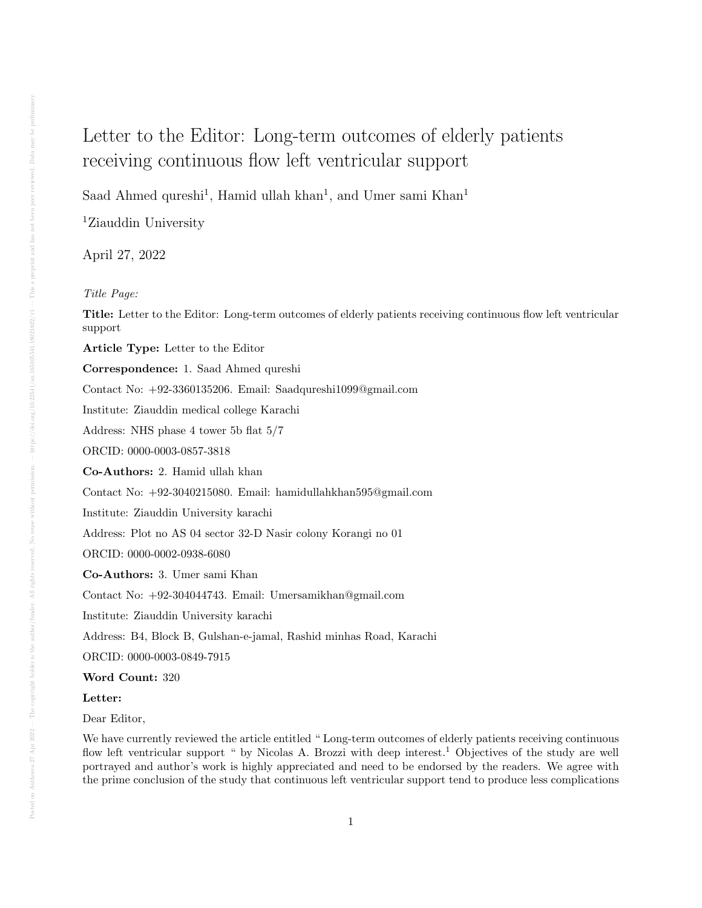## Letter to the Editor: Long-term outcomes of elderly patients receiving continuous flow left ventricular support

Saad Ahmed qureshi<sup>1</sup>, Hamid ullah khan<sup>1</sup>, and Umer sami Khan<sup>1</sup>

<sup>1</sup>Ziauddin University

April 27, 2022

## Title Page:

Title: Letter to the Editor: Long-term outcomes of elderly patients receiving continuous flow left ventricular support

Article Type: Letter to the Editor

Correspondence: 1. Saad Ahmed qureshi

Contact No: +92-3360135206. Email: Saadqureshi1099@gmail.com

Institute: Ziauddin medical college Karachi

Address: NHS phase 4 tower 5b flat 5/7

ORCID: 0000-0003-0857-3818

Co-Authors: 2. Hamid ullah khan

Contact No: +92-3040215080. Email: hamidullahkhan595@gmail.com

Institute: Ziauddin University karachi

Address: Plot no AS 04 sector 32-D Nasir colony Korangi no 01

ORCID: 0000-0002-0938-6080

Co-Authors: 3. Umer sami Khan

Contact No: +92-304044743. Email: Umersamikhan@gmail.com

Institute: Ziauddin University karachi

Address: B4, Block B, Gulshan-e-jamal, Rashid minhas Road, Karachi

ORCID: 0000-0003-0849-7915

## Word Count: 320

## Letter:

Dear Editor,

We have currently reviewed the article entitled " Long-term outcomes of elderly patients receiving continuous flow left ventricular support " by Nicolas A. Brozzi with deep interest.<sup>1</sup> Objectives of the study are well portrayed and author's work is highly appreciated and need to be endorsed by the readers. We agree with the prime conclusion of the study that continuous left ventricular support tend to produce less complications